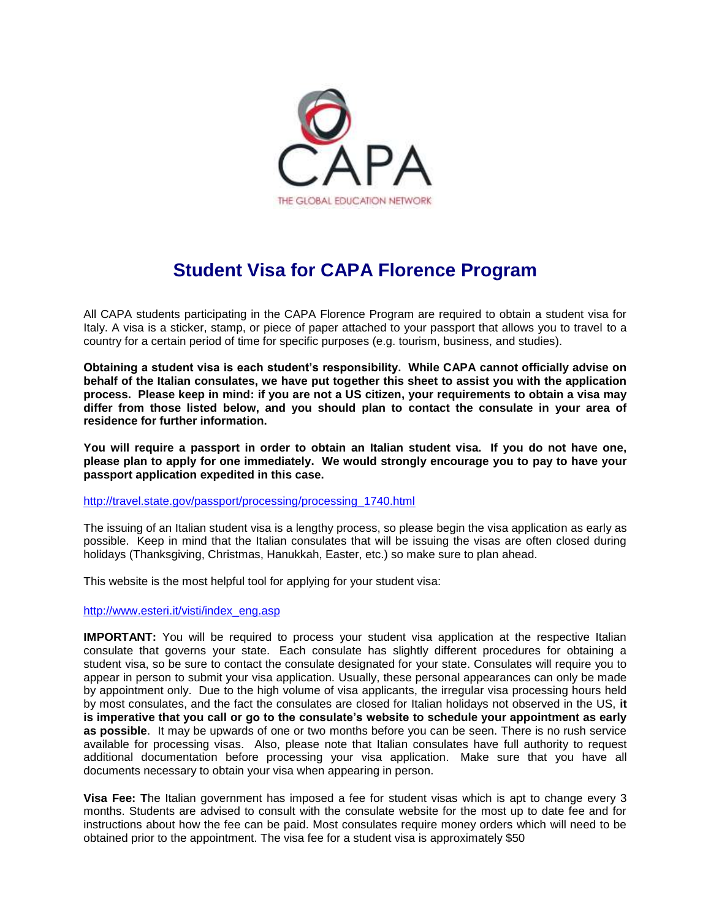

## **Student Visa for CAPA Florence Program**

All CAPA students participating in the CAPA Florence Program are required to obtain a student visa for Italy. A visa is a sticker, stamp, or piece of paper attached to your passport that allows you to travel to a country for a certain period of time for specific purposes (e.g. tourism, business, and studies).

**Obtaining a student visa is each student's responsibility. While CAPA cannot officially advise on behalf of the Italian consulates, we have put together this sheet to assist you with the application process. Please keep in mind: if you are not a US citizen, your requirements to obtain a visa may differ from those listed below, and you should plan to contact the consulate in your area of residence for further information.** 

**You will require a passport in order to obtain an Italian student visa. If you do not have one, please plan to apply for one immediately. We would strongly encourage you to pay to have your passport application expedited in this case.** 

[http://travel.state.gov/passport/processing/processing\\_1740.html](http://travel.state.gov/passport/processing/processing_1740.html)

The issuing of an Italian student visa is a lengthy process, so please begin the visa application as early as possible. Keep in mind that the Italian consulates that will be issuing the visas are often closed during holidays (Thanksgiving, Christmas, Hanukkah, Easter, etc.) so make sure to plan ahead.

This website is the most helpful tool for applying for your student visa:

## [http://www.esteri.it/visti/index\\_eng.asp](http://www.esteri.it/visti/index_eng.asp)

**IMPORTANT:** You will be required to process your student visa application at the respective Italian consulate that governs your state. Each consulate has slightly different procedures for obtaining a student visa, so be sure to contact the consulate designated for your state. Consulates will require you to appear in person to submit your visa application. Usually, these personal appearances can only be made by appointment only. Due to the high volume of visa applicants, the irregular visa processing hours held by most consulates, and the fact the consulates are closed for Italian holidays not observed in the US, **it is imperative that you call or go to the consulate's website to schedule your appointment as early as possible**. It may be upwards of one or two months before you can be seen. There is no rush service available for processing visas. Also, please note that Italian consulates have full authority to request additional documentation before processing your visa application. Make sure that you have all documents necessary to obtain your visa when appearing in person.

**Visa Fee: T**he Italian government has imposed a fee for student visas which is apt to change every 3 months. Students are advised to consult with the consulate website for the most up to date fee and for instructions about how the fee can be paid. Most consulates require money orders which will need to be obtained prior to the appointment. The visa fee for a student visa is approximately \$50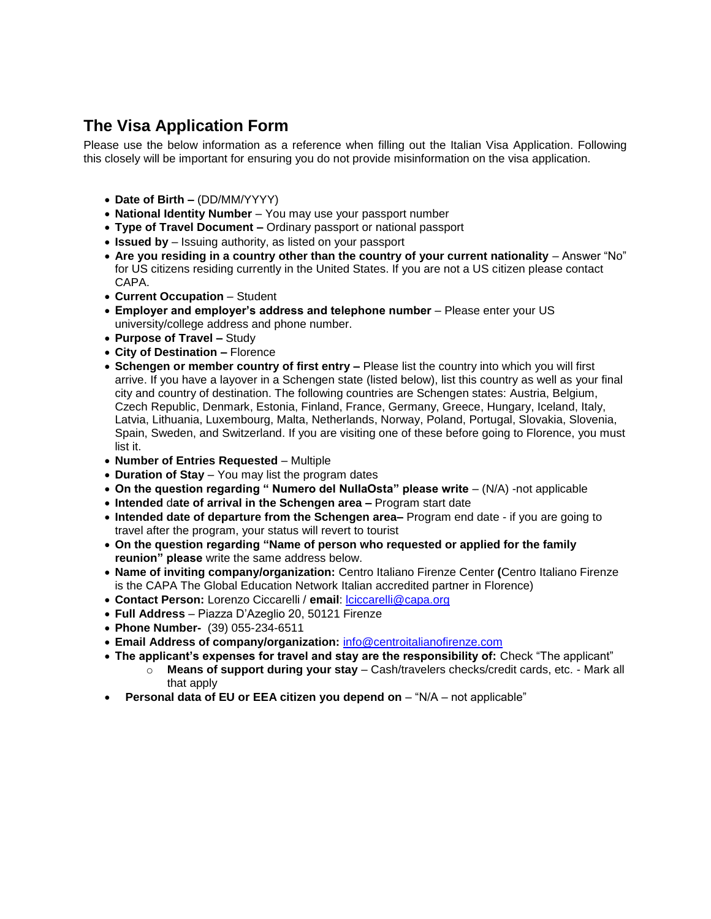## **The Visa Application Form**

Please use the below information as a reference when filling out the Italian Visa Application. Following this closely will be important for ensuring you do not provide misinformation on the visa application.

- **Date of Birth –** (DD/MM/YYYY)
- **National Identity Number** You may use your passport number
- **Type of Travel Document –** Ordinary passport or national passport
- **Issued by**  Issuing authority, as listed on your passport
- **Are you residing in a country other than the country of your current nationality** Answer "No" for US citizens residing currently in the United States. If you are not a US citizen please contact CAPA.
- **Current Occupation**  Student
- **Employer and employer's address and telephone number** Please enter your US university/college address and phone number.
- **Purpose of Travel –** Study
- **City of Destination –** Florence
- **Schengen or member country of first entry –** Please list the country into which you will first arrive. If you have a layover in a Schengen state (listed below), list this country as well as your final city and country of destination. The following countries are Schengen states: [Austria,](http://www.axa-schengen.com/en/embassy-consulate/austria) Belgium, Czech Republic, [Denmark,](http://www.axa-schengen.com/en/embassy-consulate/denmark) [Estonia,](http://www.axa-schengen.com/en/embassy-consulate/estonia) [Finland,](http://www.axa-schengen.com/en/embassy-consulate/finland) [France,](http://www.axa-schengen.com/en/embassy-consulate/france) [Germany,](http://www.axa-schengen.com/en/embassy-consulate/germany) [Greece,](http://www.axa-schengen.com/en/embassy-consulate/greece) [Hungary,](http://www.axa-schengen.com/en/embassy-consulate/hungary) [Iceland,](http://www.axa-schengen.com/en/embassy-consulate/iceland) [Italy,](http://www.axa-schengen.com/en/embassy-consulate/italy) [Latvia,](http://www.axa-schengen.com/en/embassy-consulate/latvia) [Lithuania,](http://www.axa-schengen.com/en/embassy-consulate/lithuania) [Luxembourg,](http://www.axa-schengen.com/en/embassy-consulate/luxembourg) [Malta,](http://www.axa-schengen.com/en/embassy-consulate/malta) [Netherlands,](http://www.axa-schengen.com/en/embassy-consulate/netherlands) [Norway,](http://www.axa-schengen.com/en/embassy-consulate/norway) [Poland,](http://www.axa-schengen.com/en/embassy-consulate/poland) [Portugal,](http://www.axa-schengen.com/en/embassy-consulate/portugal) [Slovakia,](http://www.axa-schengen.com/en/embassy-consulate/slovakia) [Slovenia,](http://www.axa-schengen.com/en/embassy-consulate/slovenia) [Spain,](http://www.axa-schengen.com/en/embassy-consulate/spain) [Sweden,](http://www.axa-schengen.com/en/embassy-consulate/sweden) and Switzerland. If you are visiting one of these before going to Florence, you must list it.
- **Number of Entries Requested**  Multiple
- **Duration of Stay**  You may list the program dates
- **On the question regarding " Numero del NullaOsta" please write** (N/A) -not applicable
- **Intended** d**ate of arrival in the Schengen area –** Program start date
- **Intended date of departure from the Schengen area–** Program end date if you are going to travel after the program, your status will revert to tourist
- **On the question regarding "Name of person who requested or applied for the family reunion" please** write the same address below.
- **Name of inviting company/organization:** Centro Italiano Firenze Center **(**Centro Italiano Firenze is the CAPA The Global Education Network Italian accredited partner in Florence)
- **Contact Person:** Lorenzo Ciccarelli / **email**: [lciccarelli@capa.org](mailto:lciccarelli@capa.org)
- **Full Address**  Piazza D'Azeglio 20, 50121 Firenze
- **Phone Number-** (39) 055-234-6511
- **Email Address of company/organization:** [info@centroitalianofirenze.com](mailto:info@centroitalianofirenze.com)
- **The applicant's expenses for travel and stay are the responsibility of:** Check "The applicant"
	- o **Means of support during your stay**  Cash/travelers checks/credit cards, etc. Mark all that apply
- **Personal data of EU or EEA citizen you depend on "N/A not applicable"**